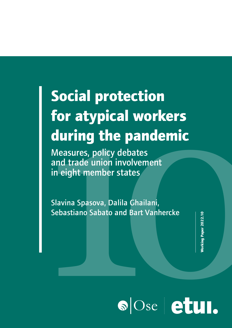# **For atypical workers**<br> **for atypical workers**<br> **during the pandemic**<br>
Measures, policy debates<br>
and trade union involvement<br>
in eight member states<br>
Slavina Spasova, Dalila Ghailani,<br>
Sebastiano Sabato and Bart Vanhercke **Social protection for atypical workers during the pandemic**

Measures, policy debates and trade union involvement in eight member states

Slavina Spasova, Dalila Ghailani, Sebastiano Sabato and Bart Vanhercke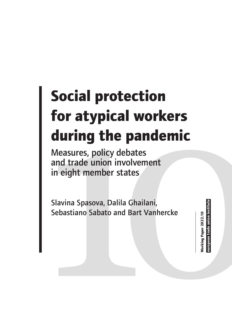# **for atypical workers<br>
during the pandemic**<br>
Measures, policy debates<br>
and trade union involvement<br>
in eight member states<br>
Slavina Spasova, Dalila Ghailani,<br>
Sebastiano Sabato and Bart Vanhercke **Social protection for atypical workers during the pandemic**

Measures, policy debates and trade union involvement in eight member states

Slavina Spasova, Dalila Ghailani, Sebastiano Sabato and Bart Vanhercke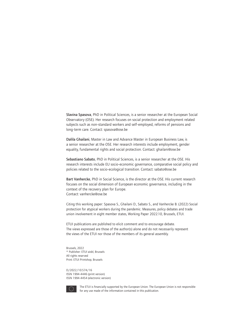Slavina Spasova, PhD in Political Sciences, is a senior researcher at the European Social Observatory (OSE). Her research focuses on social protection and employment related subjects such as non-standard workers and self-employed, reforms of pensions and long-term care. Contact: spasova@ose.be

Dalila Ghailani, Master in Law and Advance Master in European Business Law, is a senior researcher at the OSE. Her research interests include employment, gender equality, fundamental rights and social protection. Contact: ghailani@ose.be

Sebastiano Sabato, PhD in Political Sciences, is a senior researcher at the OSE. His research interests include EU socio-economic governance, comparative social policy and policies related to the socio-ecological transition. Contact: sabato@ose.be

Bart Vanhercke, PhD in Social Science, is the director at the OSE. His current research focuses on the social dimension of European economic governance, including in the context of the recovery plan for Europe. Contact: vanhercke@ose.be

Citing this working paper: Spasova S., Ghailani D., Sabato S., and Vanhercke B. (2022) Social protection for atypical workers during the pandemic. Measures, policy debates and trade union involvement in eight member states, Working Paper 2022.10, Brussels, ETUI.

ETUI publications are published to elicit comment and to encourage debate. The views expressed are those of the author(s) alone and do not necessarily represent the views of the ETUI nor those of the members of its general assembly.

Brussels, 2022 © Publisher: ETUI aisbl, Brussels All rights reserved Print: ETUI Printshop, Brussels

D/2022/10.574/16 ISSN 1994-4446 (print version) ISSN 1994-4454 (electronic version)



The ETUI is financially supported by the European Union. The European Union is not responsible for any use made of the information contained in this publication.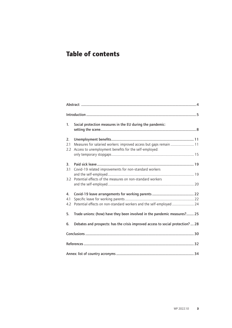# **Table of contents**

| 1.               | Social protection measures in the EU during the pandemic:                                                                    |  |
|------------------|------------------------------------------------------------------------------------------------------------------------------|--|
| 2.<br>2.1<br>2.2 | Measures for salaried workers: improved access but gaps remain  11<br>Access to unemployment benefits for the self-employed: |  |
|                  |                                                                                                                              |  |
| 3.               |                                                                                                                              |  |
| 3.1<br>3.2       | Covid-19 related improvements for non-standard workers<br>Potential effects of the measures on non-standard workers          |  |
|                  |                                                                                                                              |  |
| 4.               |                                                                                                                              |  |
| 4.1              |                                                                                                                              |  |
| 4.2              | Potential effects on non-standard workers and the self-employed  24                                                          |  |
| 5.               | Trade unions: (how) have they been involved in the pandemic measures? 25                                                     |  |
| 6.               | Debates and prospects: has the crisis improved access to social protection?  28                                              |  |
|                  |                                                                                                                              |  |
|                  |                                                                                                                              |  |
|                  |                                                                                                                              |  |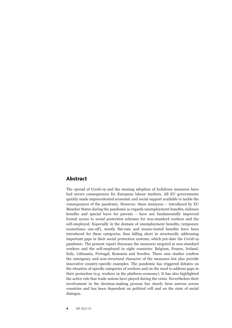### **Abstract**

The spread of Covid-19 and the ensuing adoption of lockdown measures have had severe consequences for European labour markets. All EU governments quickly made unprecedented economic and social support available to tackle the consequences of the pandemic. However, these measures – introduced by EU Member States during the pandemic as regards unemployment benefits, sickness benefits and special leave for parents – have not fundamentally improved formal access to social protection schemes for non-standard workers and the self-employed. Especially in the domain of unemployment benefits, temporary (sometimes one-off), mostly flat-rate and means-tested benefits have been introduced for these categories, thus falling short in structurally addressing important gaps in their social protection systems, which pre-date the Covid-19 pandemic. The present report discusses the measures targeted at non-standard workers and the self-employed in eight countries: Belgium, France, Ireland, Italy, Lithuania, Portugal, Romania and Sweden. These case studies confirm the emergency and non-structural character of the measures but also provide innovative country-specific examples. The pandemic has triggered debates on the situation of specific categories of workers and on the need to address gaps in their protection (e.g. workers in the platform economy). It has also highlighted the active role that trade unions have played during the crisis. Nevertheless their involvement in the decision-making process has clearly been uneven across countries and has been dependent on political will and on the state of social dialogue.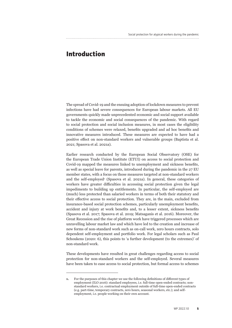# **Introduction**

The spread of Covid-19 and the ensuing adoption of lockdown measures to prevent infections have had severe consequences for European labour markets. All EU governments quickly made unprecedented economic and social support available to tackle the economic and social consequences of the pandemic. With regard to social protection and social inclusion measures, in most cases the eligibility conditions of schemes were relaxed, benefits upgraded and ad hoc benefits and innovative measures introduced. These measures are expected to have had a positive effect on non-standard workers and vulnerable groups (Baptista et al. 2021; Spasova et al. 2021a).

Earlier research conducted by the European Social Observatory (OSE) for the European Trade Union Institute (ETUI) on access to social protection and Covid-19 mapped the measures linked to unemployment and sickness benefits, as well as special leave for parents, introduced during the pandemic in the 27 EU member states, with a focus on those measures targeted at non-standard workers and the self-employed<sup>1</sup> (Spasova et al. 2021a). In general, these categories of workers have greater difficulties in accessing social protection given the legal impediments to building up entitlements. In particular, the self-employed are (much) less protected than salaried workers in terms of both their statutory and their effective access to social protection. They are, in the main, excluded from insurance-based social protection schemes, particularly unemployment benefits, accident and injury at work benefits and, to a lesser extent, sickness benefits (Spasova et al. 2017; Spasova et al. 2019; Matsaganis et al. 2016). Moreover, the Great Recession and the rise of platform work have triggered processes which are unravelling labour market law and which have led to the creation and increase of new forms of non-standard work such as on-call work, zero hours contracts, solo dependent self-employment and portfolio work. For legal scholars such as Paul Schoukens (2020: 6), this points to 'a further development (to the extremes)' of non-standard work.

These developments have resulted in great challenges regarding access to social protection for non-standard workers and the self-employed. Several measures have been taken to ease access to social protection, but formal access to schemes

**<sup>1.</sup>** For the purposes of this chapter we use the following definitions of different types of employment (ILO 2016): standard employees, i.e. full-time open-ended contracts; nonstandard workers, i.e. contractual employment outside of full-time open-ended contracts (e.g. part-time, temporary contracts, zero hours, seasonal workers, etc.); and selfemployment, i.e. people working on their own account.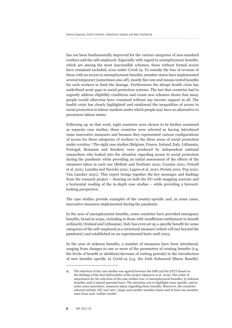has not been fundamentally improved for the various categories of non-standard workers and the self-employed. Especially with regard to unemployment benefits, which are among the most inaccessible schemes, those without formal access have remained excluded, even under Covid-19. To remedy the loss of revenue of those with no access to unemployment benefits, member states have implemented several temporary (sometimes one-off), mostly flat-rate and means-tested benefits for such workers to limit the damage. Furthermore the abrupt health crisis has underlined acute gaps in social protection systems. The fact that countries had to urgently address eligibility conditions and create new schemes shows that many people would otherwise have remained without any income support at all. The health crisis has clearly highlighted and reinforced the inequalities of access to social protection in labour markets under which people may have no alternative to precarious labour status.

Following up on that work, eight countries were chosen to be further examined as separate case studies; these countries were selected as having introduced some innovative measures and because they represented various configurations of access for these categories of workers to the three areas of social protection under scrutiny.2 The eight case studies (Belgium, France, Ireland, Italy, Lithuania, Portugal, Romania and Sweden) were produced by independent national researchers who looked into the situation regarding access to social protection during the pandemic while providing an initial assessment of the effects of the measures taken in each one (Belletti and Norbiato 2021; Cousins 2021; Fritzell et al. 2021; Lazutka and Navickė 2021; Legros et al. 2021; Perista 2021; Pop 2021; Van Lancker 2021). This report brings together the key messages and findings from the research project – drawing on both the EU-wide mapping exercise and a horizontal reading of the in-depth case studies – while providing a forwardlooking perspective.

The case studies provide examples of the country-specific and, in some cases, innovative measures implemented during the pandemic.

In the area of unemployment benefits, some countries have provided emergency benefits, broad in scope, including to those with insufficient entitlement to benefit ordinarily (Ireland and Lithuania). Italy has even set up a specific benefit for some categories of the self-employed as a structural measure (which will last beyond the pandemic) and established on an experimental basis until 2023.

In the area of sickness benefits, a number of measures have been introduced, ranging from changes to one or more of the parameters of existing benefits (e.g. the levels of benefit or abolition/decrease of waiting periods) to the introduction of new benefits specific to Covid-19 (e.g. the Irish Enhanced Illness Benefit).

**<sup>2.</sup>** The selection of the case studies was agreed between the OSE and the ETUI based on the findings of the first deliverables of the project (Spasova et al. 2019). The order of importance for the selection of the case studies was: a) unemployment benefits; b) sickness benefits; and c) special parental leave. The intention was to highlight some specific, and in some cases innovative, measures taken regarding these benefits. Moreover, the countries selected include 'old' and 'new', larger and smaller member states and at least one member state from each 'welfare model'.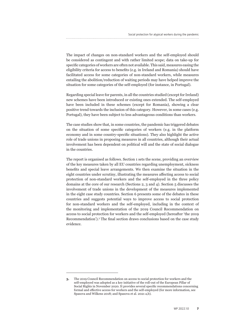The impact of changes on non-standard workers and the self-employed should be considered as contingent and with rather limited scope; data on take-up for specific categories of workers are often not available. This said, measures easing the eligibility criteria for access to benefits (e.g. in Ireland and Romania) should have facilitated access for some categories of non-standard workers, while measures entailing the abolition/reduction of waiting periods may have helped improve the situation for some categories of the self-employed (for instance, in Portugal).

Regarding special leave for parents, in all the countries studied (except for Ireland) new schemes have been introduced or existing ones extended. The self-employed have been included in these schemes (except for Romania), showing a clear positive trend towards the inclusion of this category. However, in some cases (e.g. Portugal), they have been subject to less advantageous conditions than workers.

The case studies show that, in some countries, the pandemic has triggered debates on the situation of some specific categories of workers (e.g. in the platform economy and in some country-specific situations). They also highlight the active role of trade unions in proposing measures in all countries, although their actual involvement has been dependent on political will and the state of social dialogue in the countries.

The report is organised as follows. Section 1 sets the scene, providing an overview of the key measures taken by all EU countries regarding unemployment, sickness benefits and special leave arrangements. We then examine the situation in the eight countries under scrutiny, illustrating the measures affecting access to social protection of non-standard workers and the self-employed in the three policy domains at the core of our research (Sections 2, 3 and 4). Section 5 discusses the involvement of trade unions in the development of the measures implemented in the eight case study countries. Section 6 presents some of the debates in these countries and suggests potential ways to improve access to social protection for non-standard workers and the self-employed, including in the context of the monitoring and implementation of the 2019 Council Recommendation on access to social protection for workers and the self-employed (hereafter 'the 2019 Recommendation').3 The final section draws conclusions based on the case study evidence.

**<sup>3.</sup>** The 2019 Council Recommendation on access to social protection for workers and the self-employed was adopted as a key initiative of the roll-out of the European Pillar of Social Rights in November 2020. It provides several specific recommendations concerning formal and effective access for workers and the self-employed (for more information, see Spasova and Wilkens 2018; and Spasova et al. 2021 a,b).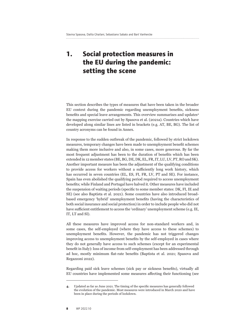# **1. Social protection measures in the EU during the pandemic: setting the scene**

This section describes the types of measures that have been taken in the broader EU context during the pandemic regarding unemployment benefits, sickness benefits and special leave arrangements. This overview summarises and updates4 the mapping exercise carried out by Spasova et al. (2021a). Countries which have developed along similar lines are listed in brackets (e.g. AT, BE, BG). The list of country acronyms can be found in Annex.

In response to the sudden outbreak of the pandemic, followed by strict lockdown measures, temporary changes have been made to unemployment benefit schemes making them more inclusive and also, in some cases, more generous. By far the most frequent adjustment has been to the duration of benefits which has been extended in 12 member states (BE, BG, DE, DK, EL, FR, IT, LU, LV, PT, RO and SK). Another important measure has been the adjustment of the qualifying conditions to provide access for workers without a sufficiently long work history, which has occurred in seven countries (EL, ES, FI, FR, LV, PT and SE). For instance, Spain has even abolished the qualifying period required to access unemployment benefits; while Finland and Portugal have halved it. Other measures have included the suspension of waiting periods (specific to some member states: DK, FI, IE and SE) (see also Baptista et al. 2021). Some countries have also introduced broadbased emergency 'hybrid' unemployment benefits (having the characteristics of both social insurance and social protection) in order to include people who did not have sufficient entitlement to access the 'ordinary' unemployment scheme (e.g. IE, IT, LT and SI).

All these measures have improved access for non-standard workers and, in some cases, the self-employed (where they have access to these schemes) to unemployment benefits. However, the pandemic has not triggered changes improving access to unemployment benefits by the self-employed in cases where they do not generally have access to such schemes (except for an experimental benefit in Italy): loss of income from self-employment has been addressed through ad hoc, mostly minimum flat-rate benefits (Baptista et al. 2021; Spasova and Regazzoni 2022).

Regarding paid sick leave schemes (sick pay or sickness benefits), virtually all EU countries have implemented some measures affecting their functioning (see

**<sup>4.</sup>** Updated as far as June 2021. The timing of the specific measures has generally followed the evolution of the pandemic. Most measures were introduced in March 2020 and have been in place during the periods of lockdown.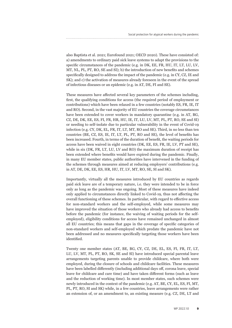also Baptista et al. 2021; Eurofound 2021; OECD 2020). These have consisted of: a) amendments to ordinary paid sick leave systems to adapt the provisions to the specific circumstances of the pandemic (e.g. in DK, EE, FR, HU, IT, LT, LU, LV, MT, NL, PL, PT, RO, SE and SI); b) the introduction of new benefits and schemes specifically designed to address the impact of the pandemic (e.g. in CY, CZ, IE and SK); and c) the activation of measures already foreseen in the event of the spread of infectious diseases or an epidemic (e.g. in AT, DE, FI and SE).

These measures have affected several key parameters of the schemes including, first, the qualifying conditions for access (the required period of employment or contributions) which have been relaxed in a few countries (notably ES, FR, IE, IT and RO). Second, in the vast majority of EU countries the coverage circumstances have been extended to cover workers in mandatory quarantine (e.g. in AT, BG, CZ, DE, DK, EE, ES, FI, FR, HR, HU, IE, IT, LU, LV, MT, PL, PT, RO, SE and SI) or needing to self-isolate due to particular vulnerability in the event of Covid-19 infection (e.g. CY, DK, EL, FR, IT, LT, MT, RO and SE). Third, in no less than ten countries (BE, CZ, ES, IE, IT, LT, PL, PT, RO and SE), the level of benefits has been increased. Fourth, in terms of the duration of benefit, the waiting periods for access have been waived in eight countries (DK, EE, ES, FR, IE, LV, PT and SE), while in six (DK, FR, LT, LU, LV and RO) the maximum duration of receipt has been extended where benefits would have expired during the pandemic. Finally, in many EU member states, public authorities have intervened in the funding of the schemes through measures aimed at reducing employers' contributions (e.g. in AT, DE, DK, EE, ES, HR, HU, IT, LV, MT, RO, SE, SI and SK).

Importantly, virtually all the measures introduced by EU countries as regards paid sick leave are of a temporary nature, i.e. they were intended to be in force only as long as the pandemic was ongoing. Most of these measures have indeed only applied to circumstances directly linked to Covid-19, thus not affecting the overall functioning of these schemes. In particular, with regard to effective access for non-standard workers and the self-employed, while some measures may have improved the situation of those workers who already had access to benefits before the pandemic (for instance, the waiving of waiting periods for the selfemployed), eligibility conditions for access have remained unchanged in almost all EU countries; this means that gaps in the coverage of specific categories of non-standard workers and self-employed which predate the pandemic have not been addressed and no measures specifically targeting those workers have been identified.

Twenty one member states (AT, BE, BG, CY, CZ, DE, EL, ES, FI, FR, IT, LT, LU, LV, MT, PL, PT, RO, SK, SE and SI) have introduced special parental leave arrangements targeting parents unable to provide childcare, where both were employed, during the closure of schools and childcare facilities. These measures have been labelled differently (including additional days off, corona leave, special leave for childcare and care time) and have taken different forms (such as leave and the reduction of working time). In most member states, such schemes were newly introduced in the context of the pandemic (e.g. AT, BE, CY, EL, ES, FI, MT, PL, PT, RO, SI and SK) while, in a few countries, leave arrangements were rather an extension of, or an amendment to, an existing measure (e.g. CZ, DE, LT and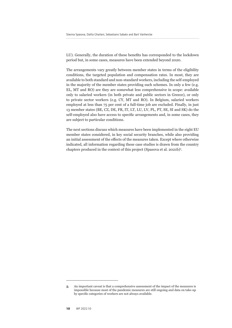LU). Generally, the duration of these benefits has corresponded to the lockdown period but, in some cases, measures have been extended beyond 2020.

The arrangements vary greatly between member states in terms of the eligibility conditions, the targeted population and compensation rates. In most, they are available to both standard and non-standard workers, including the self-employed in the majority of the member states providing such schemes. In only a few (e.g. EL, MT and RO) are they are somewhat less comprehensive in scope: available only to salaried workers (in both private and public sectors in Greece), or only to private sector workers (e.g. CY, MT and RO). In Belgium, salaried workers employed at less than 75 per cent of a full-time job are excluded. Finally, in just 13 member states (BE, CZ, DE, FR, IT, LT, LU, LV, PL, PT, SE, SI and SK) do the self-employed also have access to specific arrangements and, in some cases, they are subject to particular conditions.

The next sections discuss which measures have been implemented in the eight EU member states considered, in key social security branches, while also providing an initial assessment of the effects of the measures taken. Except where otherwise indicated, all information regarding these case studies is drawn from the country chapters produced in the context of this project (Spasova et al. 2021b)5 .

**<sup>5.</sup>** An important caveat is that a comprehensive assessment of the impact of the measures is impossible because most of the pandemic measures are still ongoing and data on take-up by specific categories of workers are not always available.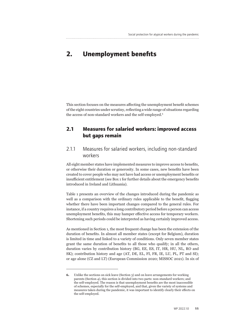# **2. Unemployment benefits**

This section focuses on the measures affecting the unemployment benefit schemes of the eight countries under scrutiny, reflecting a wide range of situations regarding the access of non-standard workers and the self-employed.<sup>6</sup>

### **2.1 Measures for salaried workers: improved access but gaps remain**

### 2.1.1 Measures for salaried workers, including non-standard workers

All eight member states have implemented measures to improve access to benefits, or otherwise their duration or generosity. In some cases, new benefits have been created to cover people who may not have had access or unemployment benefits or insufficient entitlement (see Box 1 for further details about the emergency benefits introduced in Ireland and Lithuania).

Table 1 presents an overview of the changes introduced during the pandemic as well as a comparison with the ordinary rules applicable to the benefit, flagging whether there have been important changes compared to the general rules. For instance, if a country requires a long contributory period before a person can access unemployment benefits, this may hamper effective access for temporary workers. Shortening such periods could be interpreted as having certainly improved access.

As mentioned in Section 1, the most frequent change has been the extension of the duration of benefits. In almost all member states (except for Belgium), duration is limited in time and linked to a variety of conditions. Only seven member states grant the same duration of benefits to all those who qualify; in all the others, duration varies by contribution history (BG, EE, ES, IT, HR, HU, NL, RO and SK); contribution history and age (AT, DE, EL, FI, FR, IE, LU, PL, PT and SI); or age alone (CZ and LT) (European Commission 2020; MISSOC 2021). In six of

**<sup>6.</sup>** Unlike the sections on sick leave (Section 3) and on leave arrangements for working parents (Section 4), this section is divided into two parts: non-standard workers; and the self-employed. The reason is that unemployment benefits are the most inaccessible of schemes, especially for the self-employed, and that, given the variety of systems and measures taken during the pandemic, it was important to identify clearly their effects on the self-employed.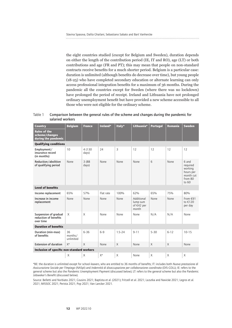the eight countries studied (except for Belgium and Sweden), duration depends on either the length of the contribution period (IE, IT and RO), age (LT) or both contributions and age (FR and PT); this may mean that people on non-standard contracts receive benefits for a much shorter period. Belgium is a particular case: duration is unlimited (although benefits do decrease over time), but young people (18-25) who have completed secondary education or alternate learning can only access professional integration benefits for a maximum of 36 months. During the pandemic all the countries except for Sweden (where there was no lockdown) have prolonged the period of receipt. Ireland and Lithuania have not prolonged ordinary unemployment benefit but have provided a new scheme accessible to all those who were not eligible for the ordinary scheme.

Table 1 Comparison between the general rules of the scheme and changes during the pandemic for salaried workers

| Country<br><b>Rules of the</b><br>scheme/changes<br>during the pandemic | <b>Belgium</b>             | <b>France</b>    | Ireland*  | Italy*     | Lithuania*                                    | Portugal     | <b>Romania</b> | <b>Sweden</b>                                                                |
|-------------------------------------------------------------------------|----------------------------|------------------|-----------|------------|-----------------------------------------------|--------------|----------------|------------------------------------------------------------------------------|
| <b>Qualifying conditions</b>                                            |                            |                  |           |            |                                               |              |                |                                                                              |
| Employment/<br>insurance record<br>(in months)                          | 10                         | 4 (130)<br>days) | 24        | 3          | 12                                            | 12           | 12             | 12                                                                           |
| Reduction/abolition<br>of qualifying period                             | None                       | 3 (88)<br>days)  | None      | None       | None                                          | 6            | None           | 6 and<br>required<br>working<br>hours per<br>month cut<br>from 80<br>to $60$ |
| <b>Level of benefits</b>                                                |                            |                  |           |            |                                               |              |                |                                                                              |
| Income replacement                                                      | 65%                        | 57%              | Flat rate | 100%       | 62%                                           | 65%          | 75%            | 80%                                                                          |
| Increase in income<br>replacement                                       | None                       | None             | None      | None       | Additional<br>lump sum<br>of €42 per<br>month | None         | None           | From €91<br>to €120<br>per day                                               |
| Suspension of gradual<br>reduction of benefits<br>over time             | X                          | X                | None      | None       | None                                          | N/A          | N/A            | None                                                                         |
| <b>Duration of benefits</b>                                             |                            |                  |           |            |                                               |              |                |                                                                              |
| Duration (min-max)<br>of benefits                                       | 36<br>months/<br>unlimited | $6 - 36$         | $6 - 9$   | $1.5 - 24$ | $9 - 11$                                      | $5 - 30$     | $6 - 12$       | $10 - 15$                                                                    |
| <b>Extension of duration</b>                                            | $X^*$                      | X                | None      | X          | None                                          | $\times$     | X              | None                                                                         |
| Inclusion of specific non-standard workers                              |                            |                  |           |            |                                               |              |                |                                                                              |
|                                                                         | X                          | X                | $X^*$     | X          | None                                          | $\mathsf{X}$ | X              | X                                                                            |

\*BE: the duration is unlimited except for school-leavers, who are entitled to 36 months of benefits; IT: includes both *Nuova prestazione di Assicurazione Sociale per l'Impiego* (NASpI) and *Indennità di disoccupazione per collaborazione coordinata* (DIS-COLL); IE: refers to the general scheme but also the Pandemic Unemployment Payment (discussed below); LT: refers to the general scheme but also the Pandemic Jobseeker's Benefit (discussed below).

Source: Belletti and Norbiato 2021; Cousins 2021; Baptista et al. (2021); Fritzell et al. 2021; Lazutka and Navickė 2021; Legros et al. 2021; MISSOC 2021; Perista 2021; Pop 2021; Van Lancker 2021.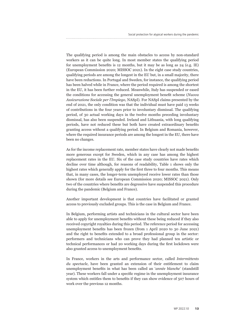The qualifying period is among the main obstacles to access by non-standard workers as it can be quite long. In most member states the qualifying period for unemployment benefits is 12 months, but it may be as long as 24 (e.g. IE) (European Commission 2020; MISSOC 2021). In the eight case study countries, qualifying periods are among the longest in the EU but, in a small majority, there have been reductions. In Portugal and Sweden, for instance, the qualifying period has been halved while in France, where the period required is among the shortest in the EU, it has been further reduced. Meanwhile, Italy has suspended or eased the conditions for accessing the general unemployment benefit scheme (*Nuova Assicurazione Sociale per l'Impiego*, NASpI). For NASpI claims presented by the end of 2021, the only condition was that the individual must have paid 13 weeks of contributions in the four years prior to involuntary dismissal. The qualifying period, of 30 actual working days in the twelve months preceding involuntary dismissal, has also been suspended. Ireland and Lithuania, with long qualifying periods, have not reduced these but both have created extraordinary benefits granting access without a qualifying period. In Belgium and Romania, however, where the required insurance periods are among the longest in the EU, there have been no changes.

As for the income replacement rate, member states have clearly not made benefits more generous except for Sweden, which in any case has among the highest replacement rates in the EU. Six of the case study countries have rates which decline over time although, for reasons of readability, Table 1 shows only the highest rates which generally apply for the first three to four months. This means that, in many cases, the longer-term unemployed receive lower rates than those shown (for more details see European Commission 2020; MISSOC 2021). Only two of the countries where benefits are degressive have suspended this procedure during the pandemic (Belgium and France).

Another important development is that countries have facilitated or granted access to previously excluded groups. This is the case in Belgium and France.

In Belgium, performing artists and technicians in the cultural sector have been able to apply for unemployment benefits without these being reduced if they also received copyright royalties during this period. The reference period for accessing unemployment benefits has been frozen (from 1 April 2020 to 30 June 2021) and the right to benefits extended to a broad professional group in the sector: performers and technicians who can prove they had planned ten artistic or technical performances or had 20 working days during the first lockdown were also granted access to unemployment benefits.

In France, workers in the arts and performance sector, called *Intermittents du spectacle*, have been granted an extension of their entitlement to claim unemployment benefits in what has been called an '*année blanche*' (standstill year). These workers fall under a specific regime in the unemployment insurance system which entitles them to benefits if they can show evidence of 507 hours of work over the previous 12 months.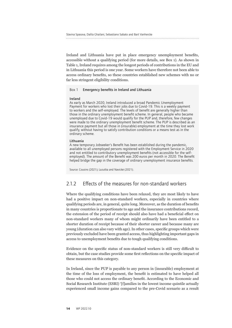Ireland and Lithuania have put in place emergency unemployment benefits, accessible without a qualifying period (for more details, see Box 1). As shown in Table 1, Ireland requires among the longest periods of contributions in the EU and in Lithuania this period is one year. Some workers have therefore not been able to access ordinary benefits, so these countries established new schemes with no or far less stringent eligibility conditions.

### Box 1 Emergency benefits in Ireland and Lithuania

### Ireland

As early as March 2020, Ireland introduced a broad Pandemic Unemployment Payment for workers who lost their jobs due to Covid-19. This is a weekly payment to workers and the self-employed. The levels of benefit are generally higher than those in the ordinary unemployment benefit scheme. In general, people who became unemployed due to Covid-19 would qualify for the PUP and, therefore, few changes were made to the ordinary unemployment benefit scheme. The PUP is described as an insurance payment but all those in (insurable) employment at the time they lost work qualify, without having to satisfy contribution conditions or a means test as in the ordinary scheme.

### Lithuania

A new temporary Jobseeker's Benefit has been established during the pandemic, available to all unemployed persons registered with the Employment Service in 2020 and not entitled to contributory unemployment benefits (not accessible for the selfemployed). The amount of the Benefit was 200 euros per month in 2020. The Benefit helped bridge the gap in the coverage of ordinary unemployment insurance benefits.

Source: Cousins (2021); Lazutka and Navickė (2021).

### 2.1.2 Effects of the measures for non-standard workers

Where the qualifying conditions have been relaxed, they are most likely to have had a positive impact on non-standard workers, especially in countries where qualifying periods are, in general, quite long. Moreover, as the duration of benefits in many countries is proportionate to age and the insurance contributions record, the extension of the period of receipt should also have had a beneficial effect on non-standard workers many of whom might ordinarily have been entitled to a shorter duration of receipt because of their shorter career and because many are young (duration can also vary with age). In other cases, specific groups which were previously excluded have been granted access, thus highlighting important gaps in access to unemployment benefits due to tough qualifying conditions.

Evidence on the specific status of non-standard workers is still very difficult to obtain, but the case studies provide some first reflections on the specific impact of these measures on this category.

In Ireland, since the PUP is payable to any person in (insurable) employment at the time of the loss of employment, the benefit is estimated to have helped all those who could not access the ordinary benefit. According to the Economic and Social Research Institute (ESRI) '[f]amilies in the lowest income quintile actually experienced small income gains compared to the pre-Covid scenario as a result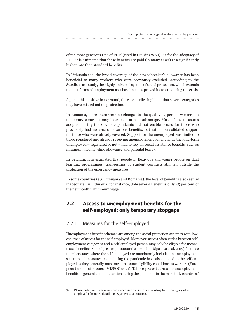of the more generous rate of PUP' (cited in Cousins 2021). As for the adequacy of PUP, it is estimated that these benefits are paid (in many cases) at a significantly higher rate than standard benefits.

In Lithuania too, the broad coverage of the new jobseeker's allowance has been beneficial to many workers who were previously excluded. According to the Swedish case study, the highly universal system of social protection, which extends to most forms of employment as a baseline, has proved its worth during the crisis.

Against this positive background, the case studies highlight that several categories may have missed out on protection.

In Romania, since there were no changes to the qualifying period, workers on temporary contracts may have been at a disadvantage. Most of the measures adopted during the Covid-19 pandemic did not enable access for those who previously had no access to various benefits, but rather consolidated support for those who were already covered. Support for the unemployed was limited to those registered and already receiving unemployment benefit while the long-term unemployed – registered or not – had to rely on social assistance benefits (such as minimum income, child allowance and parental leave).

In Belgium, it is estimated that people in flexi-jobs and young people on dual learning programmes, traineeships or student contracts still fell outside the protection of the emergency measures.

In some countries (e.g. Lithuania and Romania), the level of benefit is also seen as inadequate. In Lithuania, for instance, Jobseeker's Benefit is only 45 per cent of the net monthly minimum wage.

## **2.2 Access to unemployment benefits for the self-employed: only temporary stopgaps**

### 2.2.1 Measures for the self-employed

Unemployment benefit schemes are among the social protection schemes with lowest levels of access for the self-employed. Moreover, access often varies between selfemployment categories and a self-employed person may only be eligible for meanstested benefits or be subject to opt-outs and exemptions (Spasova et al. 2017). In those member states where the self-employed are mandatorily included in unemployment schemes, all measures taken during the pandemic have also applied to the self-employed as they generally must meet the same eligibility conditions as workers (European Commission 2020; MISSOC 2021). Table 2 presents access to unemployment benefits in general and the situation during the pandemic in the case study countries.<sup>7</sup>

**<sup>7.</sup>** Please note that, in several cases, access can also vary according to the category of selfemployed (for more details see Spasova et al. 2021a).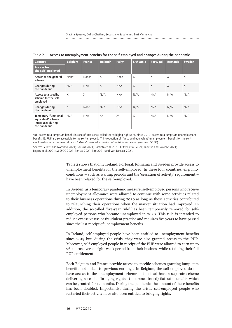| <b>Country</b>                                                                   | <b>Belgium</b> | <b>France</b> | Ireland* | Italy* | Lithuania | <b>Portugal</b> | Romania | Sweden   |
|----------------------------------------------------------------------------------|----------------|---------------|----------|--------|-----------|-----------------|---------|----------|
| <b>Access for</b><br>the self-employed                                           |                |               |          |        |           |                 |         |          |
| Access to the general<br>scheme                                                  | None*          | None*         | X        | None   | X         | X               | X       | $\times$ |
| Changes during<br>the pandemic                                                   | N/A            | N/A           | X        | N/A    | $\times$  | $\mathsf{X}$    | X       | $\times$ |
| Access to a specific<br>scheme for the self-<br>employed                         | $\times$       | X             | N/A      | N/A    | N/A       | N/A             | N/A     | N/A      |
| Changes during<br>the pandemic                                                   | $\sf X$        | None          | N/A      | N/A    | N/A       | N/A             | N/A     | N/A      |
| Temporary 'functional<br>equivalent' scheme<br>introduced during<br>the pandemic | N/A            | N/A           | $X^*$    | $X^*$  | X         | N/A             | N/A     | N/A      |

Table 2 Access to unemployment benefits for the self-employed and changes during the pandemic

\*BE: access to a lump sum benefit in case of insolvency called the 'bridging rights'; FR: since 2019, access to a lump sum unemployment benefit; IE: PUP is also accessible to the self-employed; IT: introduction of 'functional equivalent' unemployment benefit for the selfemployed on an experimental basis: *Indennità straordinaria di continuità reddituale e operative* (ISCRO).

Source: Belletti and Norbiato 2021; Cousins 2021; Baptista et al. 2021; Fritzell et al. 2021; Lazutka and Navickė 2021; Legros et al. 2021; MISSOC 2021; Perista 2021; Pop 2021; and Van Lancker 2021.

> Table 2 shows that only Ireland, Portugal, Romania and Sweden provide access to unemployment benefits for the self-employed. In these four countries, eligibility conditions – such as waiting periods and the 'cessation of activity' requirement – have been relaxed for the self-employed.

> In Sweden, as a temporary pandemic measure, self-employed persons who receive unemployment allowance were allowed to continue with some activities related to their business operations during 2020 as long as these activities contributed to relaunching their operations when the market situation had improved. In addition, the so-called 'five-year rule' has been temporarily removed for selfemployed persons who became unemployed in 2020. This rule is intended to reduce excessive use or fraudulent practice and requires five years to have passed since the last receipt of unemployment benefits.

> In Ireland, self-employed people have been entitled to unemployment benefits since 2019 but, during the crisis, they were also granted access to the PUP. Moreover, self-employed people in receipt of the PUP were allowed to earn up to 960 euros over an eight-week period from their business while retaining their full PUP entitlement.

> Both Belgium and France provide access to specific schemes granting lump-sum benefits not linked to previous earnings. In Belgium, the self-employed do not have access to the unemployment scheme but instead have a separate scheme delivering so-called 'bridging rights': (insurance-based) flat-rate benefits which can be granted for 12 months. During the pandemic, the amount of these benefits has been doubled. Importantly, during the crisis, self-employed people who restarted their activity have also been entitled to bridging rights.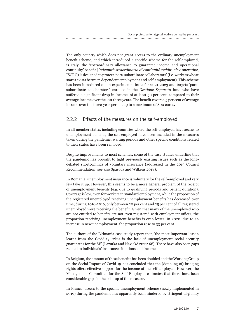The only country which does not grant access to the ordinary unemployment benefit scheme, and which introduced a specific scheme for the self-employed, is Italy, the 'Extraordinary allowance to guarantee income and operational continuity' benefit (*Indennità straordinaria di continuità reddituale e operative*, ISCRO) is designed to protect 'para-subordinate collaborators' (i.e. workers whose status exists between dependent employment and self-employment). This scheme has been introduced on an experimental basis for 2021-2023 and targets 'parasubordinate collaborators' enrolled in the *Gestione Separata* fund who have suffered a significant drop in income, of at least 50 per cent, compared to their average income over the last three years. The benefit covers 25 per cent of average income over the three-year period, up to a maximum of 800 euros.

### 2.2.2 Effects of the measures on the self-employed

In all member states, including countries where the self-employed have access to unemployment benefits, the self-employed have been included in the measures taken during the pandemic: waiting periods and other specific conditions related to their status have been removed.

Despite improvements to most schemes, some of the case studies underline that the pandemic has brought to light previously existing issues such as the longdebated shortcomings of voluntary insurance (addressed in the 2019 Council Recommendation; see also Spasova and Wilkens 2018).

In Romania, unemployment insurance is voluntary for the self-employed and very few take it up. However, this seems to be a more general problem of the receipt of unemployment benefits (e.g. due to qualifying periods and benefit duration). Coverage is low, even for workers in standard employment, while the proportion of the registered unemployed receiving unemployment benefits has decreased over time; during 2016-2019, only between 20 per cent and 25 per cent of all registered unemployed were receiving the benefit. Given that many of the unemployed who are not entitled to benefits are not even registered with employment offices, the proportion receiving unemployment benefits is even lower. In 2020, due to an increase in new unemployment, the proportion rose to 33 per cent.

The authors of the Lithuania case study report that, 'the most important lesson learnt from the Covid-19 crisis is the lack of unemployment social security guarantees for the SE' (Lazutka and Navickė 2021: 68). There have also been gaps related to individuals' insurance situations and income.

In Belgium, the amount of these benefits has been doubled and the Working Group on the Social Impact of Covid-19 has concluded that the (doubling of) bridging rights offers effective support for the income of the self-employed. However, the Management Committee for the Self-Employed estimates that there have been considerable gaps in the take-up of the measure.

In France, access to the specific unemployment scheme (newly implemented in 2019) during the pandemic has apparently been hindered by stringent eligibility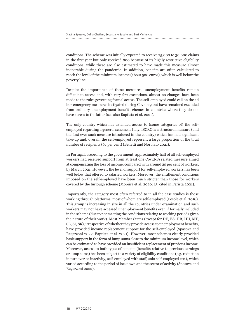conditions. The scheme was initially expected to receive 25,000 to 30,000 claims in the first year but only received 800 because of its highly restrictive eligibility conditions, while these are also estimated to have made this measure almost inoperable during the pandemic. In addition, benefits are often calculated to reach the level of the minimum income (about 500 euros), which is well below the poverty line.

Despite the importance of these measures, unemployment benefits remain difficult to access and, with very few exceptions, almost no changes have been made to the rules governing formal access. The self-employed could call on the ad hoc emergency measures instigated during Covid-19 but have remained excluded from ordinary unemployment benefit schemes in countries where they do not have access to the latter (see also Baptista et al. 2021).

The only country which has extended access to (some categories of) the selfemployed regarding a general scheme is Italy. ISCRO is a structural measure (and the first ever such measure introduced in the country) which has had significant take-up and, overall, the self-employed represent a large proportion of the total number of recipients (67 per cent) (Belletti and Norbiato 2021).

In Portugal, according to the government, approximately half of all self-employed workers had received support from at least one Covid-19 related measure aimed at compensating the loss of income, compared with around 25 per cent of workers, by March 2021. However, the level of support for self-employed workers has been well below that offered to salaried workers. Moreover, the entitlement conditions imposed on the self-employed have been much stricter than those for workers covered by the furlough scheme (Moreira et al. 2020: 15, cited in Perista 2021).

Importantly, the category most often referred to in all the case studies is those working through platforms, most of whom are self-employed (Pesole et al. 2018). This group is increasing in size in all the countries under examination and such workers may not have accessed unemployment benefits even if formally included in the scheme (due to not meeting the conditions relating to working periods given the nature of their work). Most Member States (except for DE, ES, HR, HU, MT, SE, SI, SK), irrespective of whether they provide access to unemployment benefits, have provided income replacement support for the self-employed (Spasova and Regazzoni 2022, Baptista et al. 2021). However, most schemes clearly provided basic support in the form of lump sums close to the minimum income level, which can be estimated to have provided an insufficient replacement of previous income. Moreover, access to both types of benefits (benefits relative to previous earnings or lump sums) has been subject to a variety of eligibility conditions (e.g. reduction in turnover or inactivity, self-employed with staff, solo self-employed etc.), which varied according to the period of lockdown and the sector of activity (Spasova and Regazzoni 2022).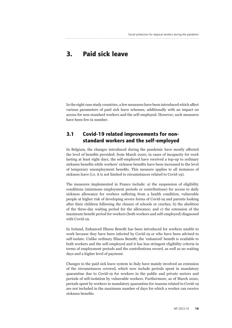# **3. Paid sick leave**

In the eight case study countries, a few measures have been introduced which affect various parameters of paid sick leave schemes, additionally with an impact on access for non-standard workers and the self-employed. However, such measures have been few in number.

### **3.1 Covid-19 related improvements for nonstandard workers and the self-employed**

In Belgium, the changes introduced during the pandemic have mostly affected the level of benefits provided: from March 2020, in cases of incapacity for work lasting at least eight days, the self-employed have received a top-up to ordinary sickness benefits while workers' sickness benefits have been increased to the level of temporary unemployment benefits. This measure applies to all instances of sickness leave (i.e. it is not limited to circumstances related to Covid-19).

The measures implemented in France include: a) the suspension of eligibility conditions (minimum employment periods or contributions) for access to daily sickness allowance for workers suffering from a health condition, vulnerable people at higher risk of developing severe forms of Covid-19 and parents looking after their children following the closure of schools or creches; b) the abolition of the three-day waiting period for the allowance; and c) the extension of the maximum benefit period for workers (both workers and self-employed) diagnosed with Covid-19.

In Ireland, Enhanced Illness Benefit has been introduced for workers unable to work because they have been infected by Covid-19 or who have been advised to self-isolate. Unlike ordinary Illness Benefit, the 'enhanced' benefit is available to both workers and the self-employed and it has less stringent eligibility criteria in terms of employment periods and the contributions record, as well as no waiting days and a higher level of payment.

Changes to the paid sick leave system in Italy have mainly involved an extension of the circumstances covered, which now include periods spent in mandatory quarantine due to Covid-19 for workers in the public and private sectors and periods of self-isolation by vulnerable workers. Furthermore, as of March 2020, periods spent by workers in mandatory quarantine for reasons related to Covid-19 are not included in the maximum number of days for which a worker can receive sickness benefits.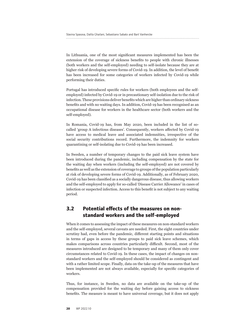In Lithuania, one of the most significant measures implemented has been the extension of the coverage of sickness benefits to people with chronic illnesses (both workers and the self-employed) needing to self-isolate because they are at higher risk of developing severe forms of Covid-19. In addition, the level of benefit has been increased for some categories of workers infected by Covid-19 while performing their duties.

Portugal has introduced specific rules for workers (both employees and the selfemployed) infected by Covid-19 or in precautionary self-isolation due to the risk of infection. These provisions deliver benefits which are higher than ordinary sickness benefits and with no waiting days. In addition, Covid-19 has been recognised as an occupational disease for workers in the healthcare sector (both workers and the self-employed).

In Romania, Covid-19 has, from May 2020, been included in the list of socalled 'group A infectious diseases'. Consequently, workers affected by Covid-19 have access to medical leave and associated indemnities, irrespective of the social security contributions record. Furthermore, the indemnity for workers quarantining or self-isolating due to Covid-19 has been increased.

In Sweden, a number of temporary changes to the paid sick leave system have been introduced during the pandemic, including compensation by the state for the waiting day when workers (including the self-employed) are not covered by benefits as well as the extension of coverage to groups of the population particularly at risk of developing severe forms of Covid-19. Additionally, as of February 2020, Covid-19 has been classified as a socially dangerous disease, thus allowing workers and the self-employed to apply for so-called 'Disease Carrier Allowance' in cases of infection or suspected infection. Access to this benefit is not subject to any waiting period.

### **3.2 Potential effects of the measures on nonstandard workers and the self-employed**

When it comes to assessing the impact of these measures on non-standard workers and the self-employed, several caveats are needed. First, the eight countries under scrutiny had, even before the pandemic, different starting points and situations in terms of gaps in access by these groups to paid sick leave schemes, which makes comparisons across countries particularly difficult. Second, most of the measures introduced are designed to be temporary and many of them only cover circumstances related to Covid-19. In these cases, the impact of changes on nonstandard workers and the self-employed should be considered as contingent and with a rather limited scope. Finally, data on the take-up of the measures that have been implemented are not always available, especially for specific categories of workers.

Thus, for instance, in Sweden, no data are available on the take-up of the compensation provided for the waiting day before gaining access to sickness benefits. The measure is meant to have universal coverage, but it does not apply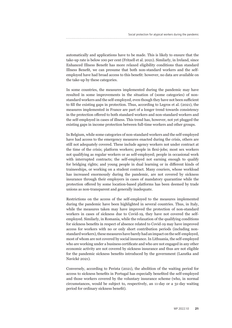automatically and applications have to be made. This is likely to ensure that the take-up rate is below 100 per cent (Fritzell et al. 2021). Similarly, in Ireland, since Enhanced Illness Benefit has more relaxed eligibility conditions than standard Illness Benefit, we can presume that both non-standard workers and the selfemployed have had broad access to this benefit: however, no data are available on the take-up by these categories.

In some countries, the measures implemented during the pandemic may have resulted in some improvements in the situation of (some categories) of nonstandard workers and the self-employed, even though they have not been sufficient to fill the existing gaps in protection. Thus, according to Legros et al. (2021), the measures implemented in France are part of a longer trend towards consistency in the protection offered to both standard workers and non-standard workers and the self-employed in cases of illness. This trend has, however, not yet plugged the existing gaps in income protection between full-time workers and other groups.

In Belgium, while some categories of non-standard workers and the self-employed have had access to the emergency measures enacted during the crisis, others are still not adequately covered. These include agency workers not under contract at the time of the crisis; platform workers; people in flexi-jobs; most sex workers not qualifying as regular workers or as self-employed; people in occasional work with interrupted contracts; the self-employed not earning enough to qualify for bridging rights; and young people in dual learning or in different kinds of traineeships, or working on a student contract. Many couriers, whose workload has increased enormously during the pandemic, are not covered by sickness insurance through their employers in cases of mandatory quarantine while the protection offered by some location-based platforms has been deemed by trade unions as non-transparent and generally inadequate.

Restrictions on the access of the self-employed to the measures implemented during the pandemic have been highlighted in several countries. Thus, in Italy, while the measures taken may have improved the protection of non-standard workers in cases of sickness due to Covid-19, they have not covered the selfemployed. Similarly, in Romania, while the relaxation of the qualifying conditions for sickness benefits in respect of absence related to Covid-19 may have improved access for workers with no or only short contribution periods (including nonstandard workers), these measures have barely had an impact on the self-employed, most of whom are not covered by social insurance. In Lithuania, the self-employed who are working under a business certificate and who are not engaged in any other economic activity are not covered by sickness insurance and thus are not eligible for the pandemic sickness benefits introduced by the government (Lazutka and Navickė 2021).

Conversely, according to Perista (2021), the abolition of the waiting period for access to sickness benefits in Portugal has especially benefited the self-employed and those workers covered by the voluntary insurance scheme (who, in normal circumstances, would be subject to, respectively, an 11-day or a 31-day waiting period for ordinary sickness benefit).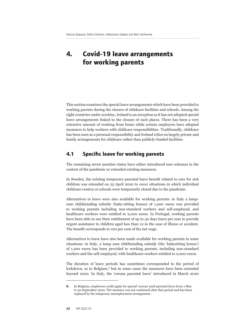# **4. Covid-19 leave arrangements for working parents**

This section examines the special leave arrangements which have been provided to working parents during the closure of childcare facilities and schools. Among the eight countries under scrutiny, Ireland is an exception as it has not adopted special leave arrangements linked to the closure of such places. There has been a very extensive amount of working from home while certain employers have adopted measures to help workers with childcare responsibilities. Traditionally, childcare has been seen as a personal responsibility and Ireland relies on largely private and family arrangements for childcare rather than publicly-funded facilities.

### **4.1 Specific leave for working parents**

The remaining seven member states have either introduced new schemes in the context of the pandemic or extended existing measures.

In Sweden, the existing temporary parental leave benefit related to care for sick children was extended on 25 April 2020 to cover situations in which individual childcare centres or schools were temporarily closed due to the pandemic.

Alternatives to leave were also available for working parents: in Italy a lumpsum childminding subsidy (baby-sitting bonus) of 1,200 euros was provided to working parents including non-standard workers and self-employed, and healthcare workers were entitled to 2,000 euros. In Portugal, working parents have been able to use their entitlement of up to 30 days leave per year to provide urgent assistance to children aged less than 12 in the case of illness or accident. The benefit corresponds to 100 per cent of the net wage.

Alternatives to leave have also been made available for working parents in some situations: in Italy, a lump sum childminding subsidy (the 'babysitting bonus') of 1,200 euros has been provided to working parents, including non-standard workers and the self-employed, with healthcare workers entitled to 2,000 euros.

The duration of leave periods has sometimes corresponded to the period of lockdown, as in Belgium,<sup>8</sup> but in some cases the measures have been extended beyond 2020. In Italy, the 'corona parental leave' introduced in March 2020

**<sup>8.</sup>** In Belgium, employees could apply for special 'corona' paid parental leave from 1 May to 30 September 2020. The measure was not continued after that period and has been replaced by the temporary unemployment arrangement.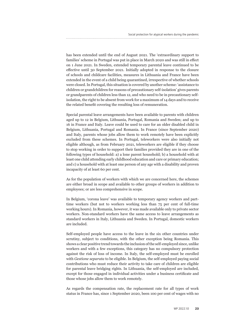has been extended until the end of August 2021. The 'extraordinary support to families' scheme in Portugal was put in place in March 2020 and was still in effect on 1 June 2021. In Sweden, extended temporary parental leave continued to be effective until 30 September 2021. Initially adopted in response to the closure of schools and childcare facilities, measures in Lithuania and France have been extended in the event of a child being quarantined, irrespective of whether schools were closed. In Portugal, this situation is covered by another scheme: 'assistance to children or grandchildren for reasons of precautionary self-isolation' gives parents or grandparents of children less than 12, and who need to be in precautionary selfisolation, the right to be absent from work for a maximum of 14 days and to receive the related benefit covering the resulting loss of remuneration.

Special parental leave arrangements have been available to parents with children aged up to 12 in Belgium, Lithuania, Portugal, Romania and Sweden; and up to 16 in France and Italy. Leave could be used to care for an older disabled child in Belgium, Lithuania, Portugal and Romania. In France (since September 2020) and Italy, parents whose jobs allow them to work remotely have been explicitly excluded from these schemes. In Portugal, teleworkers were also initially not eligible although, as from February 2021, teleworkers are eligible if they choose to stop working in order to support their families provided they are in one of the following types of household: a) a lone parent household; b) a household with at least one child attending early childhood education and care or primary education; and c) a household with at least one person of any age with a disability and proven incapacity of at least 60 per cent.

As for the population of workers with which we are concerned here, the schemes are either broad in scope and available to other groups of workers in addition to employees; or are less comprehensive in scope.

In Belgium, 'corona leave' was available to temporary agency workers and parttime workers (but not to workers working less than 75 per cent of full-time working hours). In Romania, however, it was made available only to private sector workers. Non-standard workers have the same access to leave arrangements as standard workers in Italy, Lithuania and Sweden. In Portugal, domestic workers are included.

Self-employed people have access to the leave in the six other countries under scrutiny, subject to conditions, with the other exception being Romania. This shows a clear positive trend towards the inclusion of the self-employed since, unlike workers and with a few exceptions, this category has no compulsory protection against the risk of loss of income. In Italy, the self-employed must be enrolled with *Gestione separata* to be eligible. In Belgium, the self-employed paying social contributions who must reduce their activity to take care of children are eligible for parental leave bridging rights. In Lithuania, the self-employed are included, except for those engaged in individual activities under a business certificate and those whose jobs allow them to work remotely.

As regards the compensation rate, the replacement rate for all types of work status in France has, since 1 September 2020, been 100 per cent of wages with no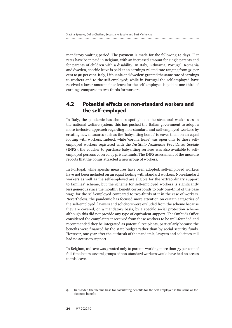mandatory waiting period. The payment is made for the following 14 days. Flat rates have been paid in Belgium, with an increased amount for single parents and for parents of children with a disability. In Italy, Lithuania, Portugal, Romania and Sweden, specific leave is paid at an earnings-related rate ranging from 50 per cent to 90 per cent. Italy, Lithuania and Sweden<sup>9</sup> granted the same rate of earnings to workers and to the self-employed; while in Portugal the self-employed have received a lower amount since leave for the self-employed is paid at one-third of earnings compared to two-thirds for workers.

### **4.2 Potential effects on non-standard workers and the self-employed**

In Italy, the pandemic has shone a spotlight on the structural weaknesses in the national welfare system; this has pushed the Italian government to adopt a more inclusive approach regarding non-standard and self-employed workers by creating new measures such as the 'babysitting bonus' to cover them on an equal footing with workers. Indeed, while 'corona leave' was open only to those selfemployed workers registered with the *Instituto Nazionale Previdenza Sociale* (INPS), the voucher to purchase babysitting services was also available to selfemployed persons covered by private funds. The INPS assessment of the measure reports that the bonus attracted a new group of workers.

In Portugal, while specific measures have been adopted, self-employed workers have not been included on an equal footing with standard workers. Non-standard workers as well as the self-employed are eligible for the 'extraordinary support to families' scheme, but the scheme for self-employed workers is significantly less generous since the monthly benefit corresponds to only one-third of the base wage for the self-employed compared to two-thirds of it in the case of workers. Nevertheless, the pandemic has focused more attention on certain categories of the self-employed: lawyers and solicitors were excluded from the scheme because they are covered, on a mandatory basis, by a specific social protection scheme although this did not provide any type of equivalent support. The Ombuds Office considered the complaints it received from these workers to be well-founded and recommended they be integrated as potential recipients, particularly because the benefits were financed by the state budget rather than by social security funds. However, one year after the outbreak of the pandemic, lawyers and solicitors still had no access to support.

In Belgium, as leave was granted only to parents working more than 75 per cent of full-time hours, several groups of non-standard workers would have had no access to this leave.

**<sup>9.</sup>** In Sweden the income base for calculating benefits for the self-employed is the same as for sickness benefit.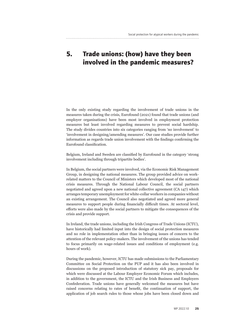# **5. Trade unions: (how) have they been involved in the pandemic measures?**

In the only existing study regarding the involvement of trade unions in the measures taken during the crisis, Eurofound (2021) found that trade unions (and employer organisations) have been most involved in employment protection measures but least involved regarding measures to prevent social hardship. The study divides countries into six categories ranging from 'no involvement' to 'involvement in designing/amending measures'. Our case studies provide further information as regards trade union involvement with the findings confirming the Eurofound classification.

Belgium, Ireland and Sweden are classified by Eurofound in the category 'strong involvement including through tripartite bodies'.

In Belgium, the social partners were involved, via the Economic Risk Management Group, in designing the national measures. The group provided advice on workrelated matters to the Council of Ministers which developed most of the national crisis measures. Through the National Labour Council, the social partners negotiated and agreed upon a new national collective agreement (CA 147) which arranges temporary unemployment for white-collar workers in companies without an existing arrangement. The Council also negotiated and agreed more general measures to support people during financially difficult times. At sectoral level, efforts were also made by the social partners to mitigate the consequences of the crisis and provide support.

In Ireland, the trade unions, including the Irish Congress of Trade Unions (ICTU), have historically had limited input into the design of social protection measures and no role in implementation other than in bringing issues of concern to the attention of the relevant policy-makers. The involvement of the unions has tended to focus primarily on wage-related issues and conditions of employment (e.g. hours of work).

During the pandemic, however, ICTU has made submissions to the Parliamentary Committee on Social Protection on the PUP and it has also been involved in discussions on the proposed introduction of statutory sick pay, proposals for which were discussed at the Labour Employer Economic Forum which includes, in addition to the government, the ICTU and the Irish Business and Employers Confederation. Trade unions have generally welcomed the measures but have raised concerns relating to rates of benefit, the continuation of support, the application of job search rules to those whose jobs have been closed down and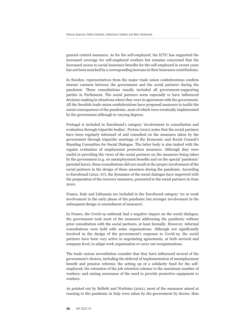general control measures. As for the self-employed, the ICTU has supported the increased coverage for self-employed workers but remains concerned that the increased access to social insurance benefits for the self-employed in recent years has not been matched by a corresponding increase in their insurance contributions.

In Sweden, representatives from the major trade union confederations confirm intense contacts between the government and the social partners during the pandemic. These consultations usually included all government-supporting parties in Parliament. The social partners seem especially to have influenced decision-making in situations where they were in agreement with the government. All the Swedish trade union confederations have proposed measures to tackle the social consequences of the pandemic, most of which were eventually implemented by the government although to varying degrees.

Portugal is included in Eurofound's category 'involvement in consultation and evaluation through tripartite bodies'. Perista (2021) notes that the social partners have been regularly informed of and consulted on the measures taken by the government through tripartite meetings of the Economic and Social Council's Standing Committee for Social Dialogue. The latter body is also tasked with the regular evaluation of employment protection measures. Although they were useful in providing the views of the social partners on the measures being taken by the government (e.g. on unemployment benefits and on the special 'pandemic' parental leave), these consultations did not result in the proper involvement of the social partners in the design of these measures during the pandemic. According to Eurofound (2021: 67), the dynamics of the social dialogue have improved with the preparation of the recovery measures, presented to the social partners in June 2020.

France, Italy and Lithuania are included in the Eurofound category 'no or weak involvement in the early phase of the pandemic but stronger involvement in the subsequent design or amendment of measures'.

In France, the Covid-19 outbreak had a negative impact on the social dialogue; the government took most of the measures addressing the pandemic without prior consultation with the social partners, at least formally. However, informal consultations were held with some organisations. Although not significantly involved in the design of the government's response to Covid-19, the social partners have been very active in negotiating agreements, at both sectoral and company level, to adapt work organisation or carry out reorganisations.

The trade unions nevertheless consider that they have influenced several of the government's choices, including the deferral of implementation of unemployment benefit and pension reforms; the setting up of a solidarity fund for the selfemployed; the extension of the job retention scheme to the maximum number of workers; and raising awareness of the need to provide protective equipment to workers.

As pointed out by Belletti and Norbiato (2021), most of the measures aimed at reacting to the pandemic in Italy were taken by the government by decree, thus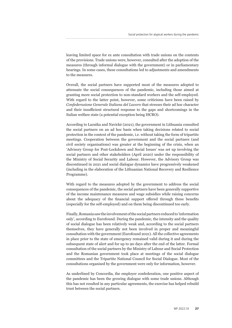leaving limited space for ex ante consultation with trade unions on the contents of the provisions. Trade unions were, however, consulted after the adoption of the measures (through informal dialogue with the government) or in parliamentary hearings. In some cases, these consultations led to adjustments and amendments to the measures.

Overall, the social partners have supported most of the measures adopted to attenuate the social consequences of the pandemic, including those aimed at granting more social protection to non-standard workers and the self-employed. With regard to the latter point, however, some criticisms have been raised by *Confederazione Generale Italiana del Lavoro* that stresses their ad hoc character and their insufficient structural response to the gaps and shortcomings in the Italian welfare state (a potential exception being ISCRO).

According to Lazutka and Navickė (2021), the government in Lithuania consulted the social partners on an ad hoc basis when taking decisions related to social protection in the context of the pandemic, i.e. without taking the form of tripartite meetings. Cooperation between the government and the social partners (and civil society organisations) was greater at the beginning of the crisis, when an 'Advisory Group for Post-Lockdown and Social Issues' was set up involving the social partners and other stakeholders (April 2020) under the responsibility of the Ministry of Social Security and Labour. However, the Advisory Group was discontinued in 2021 and social dialogue dynamics have progressively weakened (including in the elaboration of the Lithuanian National Recovery and Resilience Programme).

With regard to the measures adopted by the government to address the social consequences of the pandemic, the social partners have been generally supportive of the income maintenance measures and wage subsidies while raising concerns about the adequacy of the financial support offered through these benefits (especially for the self-employed) and on them being discontinued too early.

Finally, Romania saw the involvement of the social partners reduced to 'information only', according to Eurofound. During the pandemic, the intensity and the quality of social dialogue has been relatively weak and, according to the social partners themselves, they have generally not been involved in proper and meaningful consultation with the government (Eurofound 2021). All the collective agreements in place prior to the state of emergency remained valid during it and during the subsequent state of alert and for up to 90 days after the end of the latter. Formal consultation of the social partners by the Ministry of Labour and Social Protection and the Romanian government took place at meetings of the social dialogue committees and the Tripartite National Council for Social Dialogue. Most of the consultations organised by the government were only for information, however.

As underlined by Concordia, the employer confederation, one positive aspect of the pandemic has been the growing dialogue with some trade unions. Although this has not resulted in any particular agreements, the exercise has helped rebuild trust between the social partners.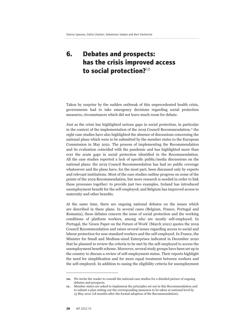# **6. Debates and prospects: has the crisis improved access to social protection?**<sup>10</sup>

Taken by surprise by the sudden outbreak of this unprecedented health crisis, governments had to take emergency decisions regarding social protection measures, circumstances which did not leave much room for debate.

Just as the crisis has highlighted serious gaps in social protection, in particular in the context of the implementation of the 2019 Council Recommendation, $<sup>11</sup>$  the</sup> eight case studies have also highlighted the absence of discussions concerning the national plans which were to be submitted by the member states to the European Commission in May 2021. The process of implementing the Recommendation and its evaluation coincided with the pandemic and has highlighted more than ever the acute gaps in social protection identified in the Recommendation. All the case studies reported a lack of specific public/media discussions on the national plans: the 2019 Council Recommendation has had no public coverage whatsoever and the plans have, for the most part, been discussed only by experts and relevant institutions. Most of the case studies outline progress on some of the points of the 2019 Recommendation, but more research is needed in order to link these processes together: to provide just two examples, Ireland has introduced unemployment benefit for the self-employed; and Belgium has improved access to maternity and other benefits.

At the same time, there are ongoing national debates on the issues which are described in these plans. In several cases (Belgium, France, Portugal and Romania), these debates concern the issue of social protection and the working conditions of platform workers, among who are mostly self-employed. In Portugal, the 'Green Paper on the Future of Work' (March 2021) quotes the 2019 Council Recommendation and raises several issues regarding access to social and labour protection for non-standard workers and the self-employed. In France, the Minister for Small and Medium-sized Enterprises indicated in December 2020 that he planned to review the criteria to be met by the self-employed to access the unemployment benefit scheme. Moreover, several study groups have been set up in the country to discuss a review of self-employment status. Their reports highlight the need for simplification and for more equal treatment between workers and the self-employed. In addition to easing the eligibility criteria for unemployment

**<sup>10.</sup>** We invite the reader to consult the national case studies for a detailed picture of ongoing debates and prospects.

**<sup>11.</sup>** Member states are asked to implement the principles set out in this Recommendation and to submit a plan setting out the corresponding measures to be taken at national level by 15 May 2021 (18 months after the formal adoption of the Recommendation).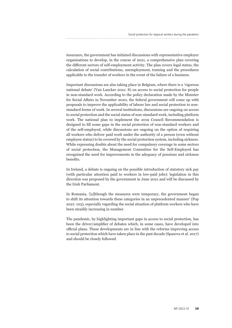insurance, the government has initiated discussions with representative employer organisations to develop, in the course of 2021, a comprehensive plan covering the different sectors of self-employment activity. The plan covers legal status, the calculation of social contributions, unemployment, training and the procedures applicable to the transfer of workers in the event of the failure of a business.

Important discussions are also taking place in Belgium, where there is a 'vigorous national debate' (Van Lancker 2021: 8) on access to social protection for people in non-standard work. According to the policy declaration made by the Minister for Social Affairs in November 2020, the federal government will come up with proposals to improve the applicability of labour law and social protection to nonstandard forms of work. In several institutions, discussions are ongoing on access to social protection and the social status of non-standard work, including platform work. The national plan to implement the 2019 Council Recommendation is designed to fill some gaps in the social protection of non-standard workers and of the self-employed, while discussions are ongoing on the option of requiring all workers who deliver paid work under the authority of a person (even without employee status) to be covered by the social protection system, including sickness. While expressing doubts about the need for compulsory coverage in some sectors of social protection, the Management Committee for the Self-Employed has recognised the need for improvements in the adequacy of pensions and sickness benefits.

In Ireland, a debate is ongoing on the possible introduction of statutory sick pay (with particular attention paid to workers in low-paid jobs): legislation in this direction was proposed by the government in June 2021 and will be discussed by the Irish Parliament.

In Romania, '[a]lthough the measures were temporary, the government began to shift its attention towards these categories in an unprecedented manner' (Pop 2021: 103), especially regarding the social situation of platform workers who have been steadily increasing in number.

The pandemic, by highlighting important gaps in access to social protection, has been the driver/amplifier of debates which, in some cases, have developed into official plans. These developments are in line with the reforms improving access to social protection which have taken place in the past decade (Spasova et al. 2017) and should be closely followed.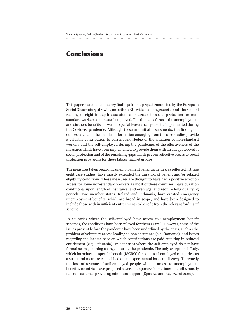# **Conclusions**

This paper has collated the key findings from a project conducted by the European Social Observatory, drawing on both an EU-wide mapping exercise and a horizontal reading of eight in-depth case studies on access to social protection for nonstandard workers and the self-employed. The thematic focus is the unemployment and sickness benefits, as well as special leave arrangements, implemented during the Covid-19 pandemic. Although these are initial assessments, the findings of our research and the detailed information emerging from the case studies provide a valuable contribution to current knowledge of the situation of non-standard workers and the self-employed during the pandemic, of the effectiveness of the measures which have been implemented to provide them with an adequate level of social protection and of the remaining gaps which prevent effective access to social protection provisions for these labour market groups.

The measures taken regarding unemployment benefit schemes, as reflected in these eight case studies, have mostly extended the duration of benefit and/or relaxed eligibility conditions. These measures are thought to have had a positive effect on access for some non-standard workers as most of these countries make duration conditional upon length of insurance, and even age, and require long qualifying periods. Two member states, Ireland and Lithuania, have created emergency unemployment benefits, which are broad in scope, and have been designed to include those with insufficient entitlements to benefit from the relevant 'ordinary' scheme.

In countries where the self-employed have access to unemployment benefit schemes, the conditions have been relaxed for them as well. However, some of the issues present before the pandemic have been underlined by the crisis, such as the problem of voluntary access leading to non-insurance (e.g. Romania), and issues regarding the income base on which contributions are paid resulting in reduced entitlement (e.g. Lithuania). In countries where the self-employed do not have formal access, nothing changed during the pandemic. The only exception is Italy, which introduced a specific benefit (ISCRO) for some self-employed categories, as a structural measure established on an experimental basis until 2023. To remedy the loss of revenue of self-employed people with no access to unemployment benefits, countries have proposed several temporary (sometimes one-off), mostly flat-rate schemes providing minimum support (Spasova and Regazzoni 2022).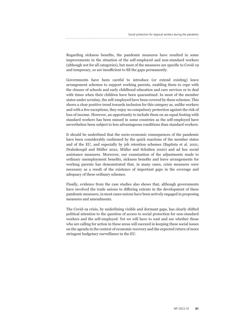Regarding sickness benefits, the pandemic measures have resulted in some improvements in the situation of the self-employed and non-standard workers (although not for all categories), but most of the measures are specific to Covid-19 and temporary, so are insufficient to fill the gaps permanently.

Governments have been careful to introduce (or extend existing) leave arrangement schemes to support working parents, enabling them to cope with the closure of schools and early childhood education and care services or to deal with times when their children have been quarantined. In most of the member states under scrutiny, the self-employed have been covered by these schemes. This shows a clear positive trend towards inclusion for this category as, unlike workers and with a few exceptions, they enjoy no compulsory protection against the risk of loss of income. However, an opportunity to include them on an equal footing with standard workers has been missed in some countries as the self-employed have nevertheless been subject to less advantageous conditions than standard workers.

It should be underlined that the socio-economic consequences of the pandemic have been considerably cushioned by the quick reactions of the member states and of the EU, and especially by job retention schemes (Baptista et al. 2021; Drahokoupil and Müller 2021; Müller and Schulten 2020) and ad hoc social assistance measures. Moreover, our examination of the adjustments made to ordinary unemployment benefits, sickness benefits and leave arrangements for working parents has demonstrated that, in many cases, crisis measures were necessary as a result of the existence of important gaps in the coverage and adequacy of these ordinary schemes.

Finally, evidence from the case studies also shows that, although governments have involved the trade unions to differing extents in the development of these pandemic measures, in most cases unions have been actively engaged in proposing measures and amendments.

The Covid-19 crisis, by underlining visible and dormant gaps, has clearly shifted political attention to the question of access to social protection for non-standard workers and the self-employed. Yet we will have to wait and see whether those who are calling for action in these areas will succeed in keeping these social issues on the agenda in the context of economic recovery and the expected return of more stringent budgetary surveillance in the EU.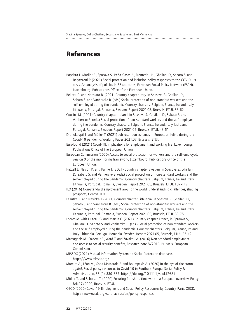## **References**

- Baptista I., Marlier E., Spasova S., Peña-Casas R., Fronteddu B., Ghailani D., Sabato S. and Regazzoni P. (2021) Social protection and inclusion policy responses to the COVID-19 crisis. An analysis of policies in 35 countries, European Social Policy Network (ESPN), Luxembourg, Publications Office of the European Union.
- Belletti C. and Norbiato R. (2021) Country chapter Italy, in Spasova S., Ghailani D., Sabato S. and Vanhercke B. (eds.) Social protection of non-standard workers and the self-employed during the pandemic. Country chapters: Belgium, France, Ireland, Italy, Lithuania, Portugal, Romania, Sweden, Report 2021.05, Brussels, ETUI, 53-62.
- Cousins M. (2021) Country chapter Ireland, in Spasova S., Ghailani D., Sabato S. and Vanhercke B. (eds.) Social protection of non-standard workers and the self-employed during the pandemic. Country chapters: Belgium, France, Ireland, Italy, Lithuania, Portugal, Romania, Sweden, Report 2021.05, Brussels, ETUI, 43-51.
- Drahokoupil J. and Müller T. (2021) Job retention schemes in Europe: a lifeline during the Covid-19 pandemic, Working Paper 2021.07, Brussels, ETUI.

Eurofound (2021) Covid-19: implications for employment and working life, Luxembourg, Publications Office of the European Union.

European Commission (2020) Access to social protection for workers and the self-employed: version 0 of the monitoring framework, Luxembourg, Publications Office of the European Union.

Fritzell J., Nelson K. and Palme J. (2021) Country chapter Sweden, in Spasova S., Ghailani D., Sabato S. and Vanhercke B. (eds.) Social protection of non-standard workers and the self-employed during the pandemic. Country chapters: Belgium, France, Ireland, Italy, Lithuania, Portugal, Romania, Sweden, Report 2021.05, Brussels, ETUI, 107-117.

ILO (2016) Non-standard employment around the world: understanding challenges, shaping prospects, Geneva, ILO.

- Lazutka R. and Navickė J. (2021) Country chapter Lithuania, in Spasova S., Ghailani D., Sabato S. and Vanhercke B. (eds.) Social protection of non-standard workers and the self-employed during the pandemic. Country chapters: Belgium, France, Ireland, Italy, Lithuania, Portugal, Romania, Sweden, Report 2021.05, Brussels, ETUI, 63-75.
- Legros M. with Huteau G. and Martin C. (2021) Country chapter France, in Spasova S., Ghailani D., Sabato S. and Vanhercke B. (eds.) Social protection of non-standard workers and the self-employed during the pandemic. Country chapters: Belgium, France, Ireland, Italy, Lithuania, Portugal, Romania, Sweden, Report 2021.05, Brussels, ETUI, 23-42.
- Matsaganis M., Ozdemir E., Ward T. and Zavakou A. (2016) Non-standard employment and access to social security benefits, Research note 8/2015, Brussels, European Commission.
- MISSOC (2021) Mutual Information System on Social Protection database. <https://www.missoc.org/>
- Moreira A., Léon M., Coda Moscarola F. and Roumpakis A. (2020) In the eye of the storm… again!, Social policy responses to Covid-19 in Southern Europe, Social Policy & Administration, 55 (2), 339-357. <https://doi.org/10.1111/spol.12681>
- Müller T. and Schulten T. (2020) Ensuring fair short-time work a European overview, Policy Brief 7/2020, Brussels, ETUI.
- OECD (2020) Covid-19-Employment and Social Policy Responses by Country, Paris, OECD. <http://www.oecd. org/coronavirus/en/policy-responses>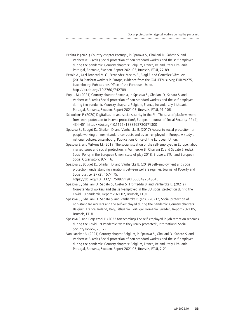Perista P. (2021) Country chapter Portugal, in Spasova S., Ghailani D., Sabato S. and Vanhercke B. (eds.) Social protection of non-standard workers and the self-employed during the pandemic. Country chapters: Belgium, France, Ireland, Italy, Lithuania, Portugal, Romania, Sweden, Report 2021.05, Brussels, ETUI, 77-89.

Pesole A., Urzi Brancati M. C., Fernández-Macias E., Biagi F. and González Vázquez I. (2018) Platform workers in Europe, evidence from the COLLEEM survey, EUR29275, Luxembourg, Publications Office of the European Union. <http://dx.doi.org/10.2760/742789>

- Pop L. M. (2021) Country chapter Romania, in Spasova S., Ghailani D., Sabato S. and Vanhercke B. (eds.) Social protection of non-standard workers and the self-employed during the pandemic. Country chapters: Belgium, France, Ireland, Italy, Lithuania, Portugal, Romania, Sweden, Report 2021.05, Brussels, ETUI, 91-106.
- Schoukens P. (2020) Digitalisation and social security in the EU. The case of platform work: from work protection to income protection?, European Journal of Social Security, 22 (4), 434-451.<https://doi.org/10.1177/1388262720971300>

Spasova S., Bouget D., Ghailani D. and Vanhercke B. (2017) Access to social protection for people working on non-standard contracts and as self-employed in Europe. A study of national policies, Luxembourg, Publications Office of the European Union.

- Spasova S. and Wilkens M. (2018) The social situation of the self-employed in Europe: labour market issues and social protection, in Vanhercke B., Ghailani D. and Sabato S. (eds.), Social Policy in the European Union: state of play 2018, Brussels, ETUI and European Social Observatory, 97-116.
- Spasova S., Bouget D., Ghailani D. and Vanhercke B. (2019) Self-employment and social protection: understanding variations between welfare regimes, Journal of Poverty and Social Justice, 27 (2), 157-175.

<https://doi.org/10.1332/175982719X15538492348045>

- Spasova S., Ghailani D., Sabato S., Coster S., Fronteddu B. and Vanhercke B. (2021a) Non-standard workers and the self-employed in the EU: social protection during the Covid 19 pandemic, Report 2021.02, Brussels, ETUI.
- Spasova S., Ghailani D., Sabato S. and Vanhercke B. (eds.) (2021b) Social protection of non-standard workers and the self-employed during the pandemic. Country chapters: Belgium, France, Ireland, Italy, Lithuania, Portugal, Romania, Sweden, Report 2021.05, Brussels, ETUI.
- Spasova S. and Regazzoni P. (2022 forthcoming) The self-employed in job retention schemes during the Covid-19 Pandemic: were they really protected?, International Social Security Review, 75 (2).
- Van Lancker A. (2021) Country chapter Belgium, in Spasova S., Ghailani D., Sabato S. and Vanhercke B. (eds.) Social protection of non-standard workers and the self-employed during the pandemic. Country chapters: Belgium, France, Ireland, Italy, Lithuania, Portugal, Romania, Sweden, Report 2021.05, Brussels, ETUI, 7-21.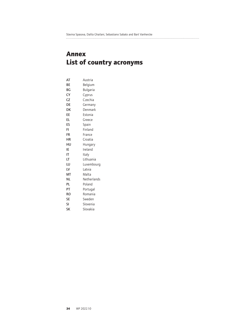### 

# **Annex List of country acronyms**

| AT        | Austria     |
|-----------|-------------|
| ВE        | Belgium     |
| ВG        | Bulgaria    |
| CY        | Cyprus      |
| CZ        | Czechia     |
| DE        | Germany     |
| DK        | Denmark     |
| ЕE        | Estonia     |
| EL        | Greece      |
| ES        | Spain       |
| FI        | Finland     |
| FR        | France      |
| НR        | Croatia     |
| нu        | Hungary     |
| IE        | Ireland     |
| ΙT        | Italy       |
| LT        | Lithuania   |
| LU        | Luxembourg  |
| LV        | Latvia      |
| МΤ        | Malta       |
| ΝL        | Netherlands |
| PL        | Poland      |
| PT        | Portugal    |
| RO        | Romania     |
| SE        | Sweden      |
| SI        | Slovenia    |
| <b>SK</b> | Slovakia    |
|           |             |